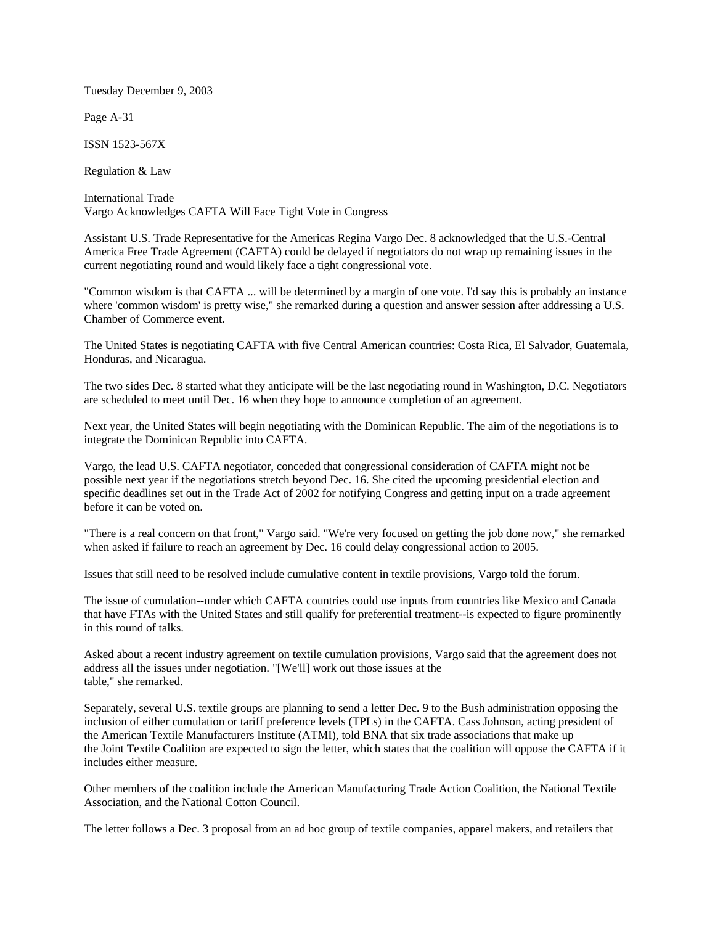Tuesday December 9, 2003

Page A-31

ISSN 1523-567X

Regulation & Law

International Trade Vargo Acknowledges CAFTA Will Face Tight Vote in Congress

Assistant U.S. Trade Representative for the Americas Regina Vargo Dec. 8 acknowledged that the U.S.-Central America Free Trade Agreement (CAFTA) could be delayed if negotiators do not wrap up remaining issues in the current negotiating round and would likely face a tight congressional vote.

"Common wisdom is that CAFTA ... will be determined by a margin of one vote. I'd say this is probably an instance where 'common wisdom' is pretty wise," she remarked during a question and answer session after addressing a U.S. Chamber of Commerce event.

The United States is negotiating CAFTA with five Central American countries: Costa Rica, El Salvador, Guatemala, Honduras, and Nicaragua.

The two sides Dec. 8 started what they anticipate will be the last negotiating round in Washington, D.C. Negotiators are scheduled to meet until Dec. 16 when they hope to announce completion of an agreement.

Next year, the United States will begin negotiating with the Dominican Republic. The aim of the negotiations is to integrate the Dominican Republic into CAFTA.

Vargo, the lead U.S. CAFTA negotiator, conceded that congressional consideration of CAFTA might not be possible next year if the negotiations stretch beyond Dec. 16. She cited the upcoming presidential election and specific deadlines set out in the Trade Act of 2002 for notifying Congress and getting input on a trade agreement before it can be voted on.

"There is a real concern on that front," Vargo said. "We're very focused on getting the job done now," she remarked when asked if failure to reach an agreement by Dec. 16 could delay congressional action to 2005.

Issues that still need to be resolved include cumulative content in textile provisions, Vargo told the forum.

The issue of cumulation--under which CAFTA countries could use inputs from countries like Mexico and Canada that have FTAs with the United States and still qualify for preferential treatment--is expected to figure prominently in this round of talks.

Asked about a recent industry agreement on textile cumulation provisions, Vargo said that the agreement does not address all the issues under negotiation. "[We'll] work out those issues at the table," she remarked.

Separately, several U.S. textile groups are planning to send a letter Dec. 9 to the Bush administration opposing the inclusion of either cumulation or tariff preference levels (TPLs) in the CAFTA. Cass Johnson, acting president of the American Textile Manufacturers Institute (ATMI), told BNA that six trade associations that make up the Joint Textile Coalition are expected to sign the letter, which states that the coalition will oppose the CAFTA if it includes either measure.

Other members of the coalition include the American Manufacturing Trade Action Coalition, the National Textile Association, and the National Cotton Council.

The letter follows a Dec. 3 proposal from an ad hoc group of textile companies, apparel makers, and retailers that